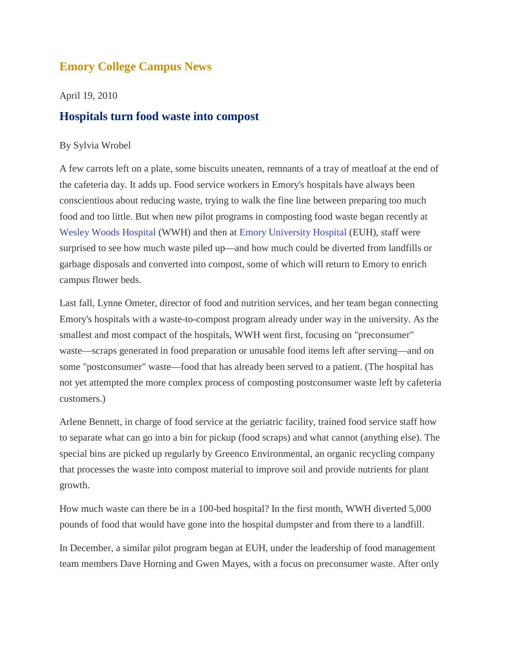## **Emory College Campus News**

April 19, 2010

## **Hospitals turn food waste into compost**

## By Sylvia Wrobel

A few carrots left on a plate, some biscuits uneaten, remnants of a tray of meatloaf at the end of the cafeteria day. It adds up. Food service workers in Emory's hospitals have always been conscientious about reducing waste, trying to walk the fine line between preparing too much food and too little. But when new pilot programs in composting food waste began recently at [Wesley Woods Hospital](http://www.emoryhealthcare.org/wesley-woods/index.html) (WWH) and then at [Emory University Hospital](http://www.emoryhealthcare.org/emory-university-hospital-atlanta/index.html) (EUH), staff were surprised to see how much waste piled up—and how much could be diverted from landfills or garbage disposals and converted into compost, some of which will return to Emory to enrich campus flower beds.

Last fall, Lynne Ometer, director of food and nutrition services, and her team began connecting Emory's hospitals with a waste-to-compost program already under way in the university. As the smallest and most compact of the hospitals, WWH went first, focusing on "preconsumer" waste—scraps generated in food preparation or unusable food items left after serving—and on some "postconsumer" waste—food that has already been served to a patient. (The hospital has not yet attempted the more complex process of composting postconsumer waste left by cafeteria customers.)

Arlene Bennett, in charge of food service at the geriatric facility, trained food service staff how to separate what can go into a bin for pickup (food scraps) and what cannot (anything else). The special bins are picked up regularly by Greenco Environmental, an organic recycling company that processes the waste into compost material to improve soil and provide nutrients for plant growth.

How much waste can there be in a 100-bed hospital? In the first month, WWH diverted 5,000 pounds of food that would have gone into the hospital dumpster and from there to a landfill.

In December, a similar pilot program began at EUH, under the leadership of food management team members Dave Horning and Gwen Mayes, with a focus on preconsumer waste. After only